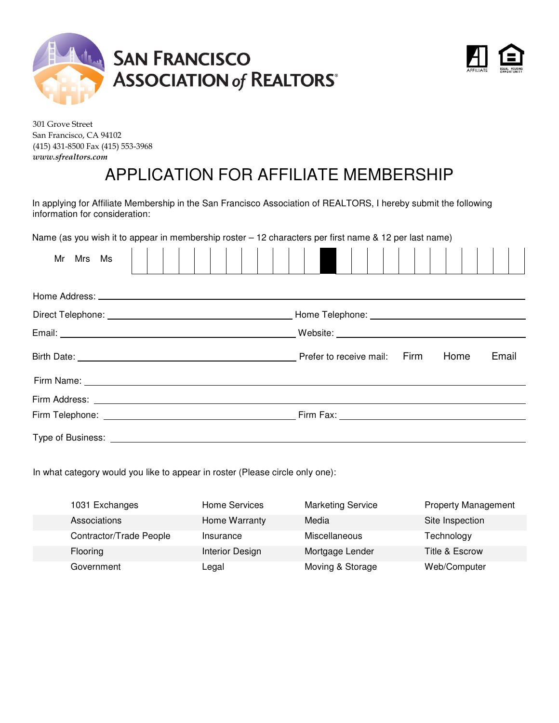



301 Grove Street San Francisco, CA 94102 (415) 431-8500 Fax (415) 553-3968 *www.sfrealtors.com* 

### APPLICATION FOR AFFILIATE MEMBERSHIP

In applying for Affiliate Membership in the San Francisco Association of REALTORS, I hereby submit the following information for consideration:

Name (as you wish it to appear in membership roster – 12 characters per first name & 12 per last name)

| Mr Mrs Ms                                                                                                                                                                                                                      |  |  |  |  |  |  |                              |  |  |  |      |  |       |  |
|--------------------------------------------------------------------------------------------------------------------------------------------------------------------------------------------------------------------------------|--|--|--|--|--|--|------------------------------|--|--|--|------|--|-------|--|
|                                                                                                                                                                                                                                |  |  |  |  |  |  |                              |  |  |  |      |  |       |  |
|                                                                                                                                                                                                                                |  |  |  |  |  |  |                              |  |  |  |      |  |       |  |
|                                                                                                                                                                                                                                |  |  |  |  |  |  |                              |  |  |  |      |  |       |  |
|                                                                                                                                                                                                                                |  |  |  |  |  |  | Prefer to receive mail: Firm |  |  |  | Home |  | Email |  |
| Firm Name: 1988 Contract Contract Contract Contract Contract Contract Contract Contract Contract Contract Contract Contract Contract Contract Contract Contract Contract Contract Contract Contract Contract Contract Contract |  |  |  |  |  |  |                              |  |  |  |      |  |       |  |
|                                                                                                                                                                                                                                |  |  |  |  |  |  |                              |  |  |  |      |  |       |  |
|                                                                                                                                                                                                                                |  |  |  |  |  |  |                              |  |  |  |      |  |       |  |
|                                                                                                                                                                                                                                |  |  |  |  |  |  |                              |  |  |  |      |  |       |  |

In what category would you like to appear in roster (Please circle only one):

| 1031 Exchanges          | Home Services   | <b>Marketing Service</b> | <b>Property Management</b> |
|-------------------------|-----------------|--------------------------|----------------------------|
| Associations            | Home Warranty   | Media                    | Site Inspection            |
| Contractor/Trade People | Insurance       | <b>Miscellaneous</b>     | Technology                 |
| <b>Flooring</b>         | Interior Design | Mortgage Lender          | Title & Escrow             |
| Government              | Legal           | Moving & Storage         | Web/Computer               |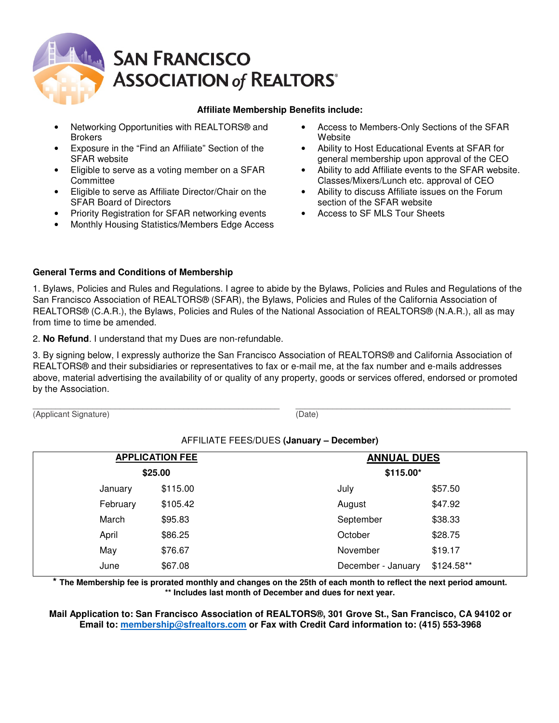# **SAN FRANCISCO ASSOCIATION of REALTORS®**

#### **Affiliate Membership Benefits include:**

- Networking Opportunities with REALTORS® and **Brokers**
- Exposure in the "Find an Affiliate" Section of the SFAR website
- Eligible to serve as a voting member on a SFAR **Committee**
- Eligible to serve as Affiliate Director/Chair on the SFAR Board of Directors
- Priority Registration for SFAR networking events
- Monthly Housing Statistics/Members Edge Access
- Access to Members-Only Sections of the SFAR **Website**
- Ability to Host Educational Events at SFAR for general membership upon approval of the CEO
- Ability to add Affiliate events to the SFAR website. Classes/Mixers/Lunch etc. approval of CEO
- Ability to discuss Affiliate issues on the Forum section of the SFAR website
- Access to SF MLS Tour Sheets

#### **General Terms and Conditions of Membership**

1. Bylaws, Policies and Rules and Regulations. I agree to abide by the Bylaws, Policies and Rules and Regulations of the San Francisco Association of REALTORS® (SFAR), the Bylaws, Policies and Rules of the California Association of REALTORS® (C.A.R.), the Bylaws, Policies and Rules of the National Association of REALTORS® (N.A.R.), all as may from time to time be amended.

2. **No Refund**. I understand that my Dues are non-refundable.

3. By signing below, I expressly authorize the San Francisco Association of REALTORS® and California Association of REALTORS® and their subsidiaries or representatives to fax or e-mail me, at the fax number and e-mails addresses above, material advertising the availability of or quality of any property, goods or services offered, endorsed or promoted by the Association.

\_\_\_\_\_\_\_\_\_\_\_\_\_\_\_\_\_\_\_\_\_\_\_\_\_\_\_\_\_\_\_\_\_\_\_\_\_\_\_\_\_\_\_\_\_\_\_\_\_\_\_\_\_\_ \_\_\_\_\_\_\_\_\_\_\_\_\_\_\_\_\_\_\_\_\_\_\_\_\_\_\_\_\_\_\_\_\_\_\_\_\_\_\_\_\_\_\_\_\_\_\_ (Applicant Signature) (Date)

#### AFFILIATE FEES/DUES **(January – December)**

| <b>APPLICATION FEE</b> | <b>ANNUAL DUES</b>                |
|------------------------|-----------------------------------|
| \$25.00                | \$115.00*                         |
| \$115.00<br>January    | \$57.50<br>July                   |
| February<br>\$105.42   | \$47.92<br>August                 |
| March<br>\$95.83       | \$38.33<br>September              |
| \$86.25<br>April       | \$28.75<br>October                |
| May<br>\$76.67         | \$19.17<br>November               |
| \$67.08<br>June        | $$124.58**$<br>December - January |
|                        |                                   |

**\* The Membership fee is prorated monthly and changes on the 25th of each month to reflect the next period amount. \*\* Includes last month of December and dues for next year.** 

**Mail Application to: San Francisco Association of REALTORS®, 301 Grove St., San Francisco, CA 94102 or Email to: membership@sfrealtors.com or Fax with Credit Card information to: (415) 553-3968**